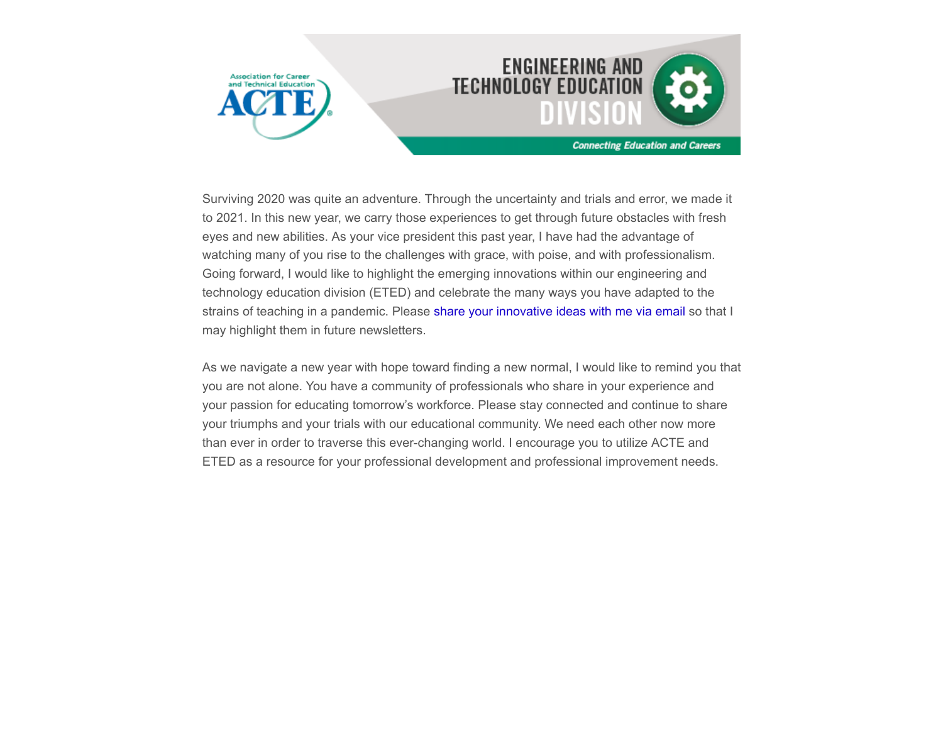



Surviving 2020 was quite an adventure. Through the uncertainty and trials and error, we made it to 2021. In this new year, we carry those experiences to get through future obstacles with fresh eyes and new abilities. As your vice president this past year, I have had the advantage of watching many of you rise to the challenges with grace, with poise, and with professionalism. Going forward, I would like to highlight the emerging innovations within our engineering and technology education division (ETED) and celebrate the many ways you have adapted to the strains of teaching in a pandemic. Please [share your innovative ideas with me via email](mailto:richelle.krumsiek@tulsatech.edu?subject=innovations%20in%20pandemic) so that I may highlight them in future newsletters.

As we navigate a new year with hope toward finding a new normal, I would like to remind you that you are not alone. You have a community of professionals who share in your experience and your passion for educating tomorrow's workforce. Please stay connected and continue to share your triumphs and your trials with our educational community. We need each other now more than ever in order to traverse this ever-changing world. I encourage you to utilize ACTE and ETED as a resource for your professional development and professional improvement needs.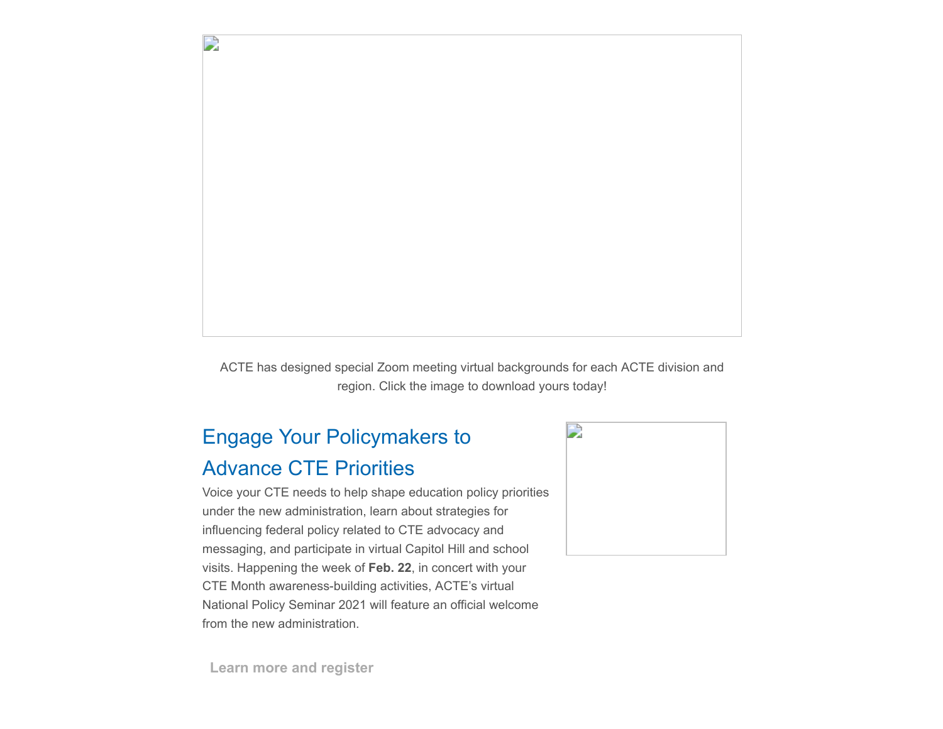

ACTE has designed special Zoom meeting virtual backgrounds for each ACTE division and region. Click the image to download yours today!

# Engage Your Policymakers to Advance CTE Priorities

Voice your CTE needs to help shape education policy priorities under the new administration, learn about strategies for influencing federal policy related to CTE advocacy and messaging, and participate in virtual Capitol Hill and school visits. Happening the week of **Feb. 22**, in concert with your CTE Month awareness-building activities, ACTE's virtual National Policy Seminar 2021 will feature an official welcome from the new administration.



**[Learn more and register](https://www.acteonline.org/nps/)**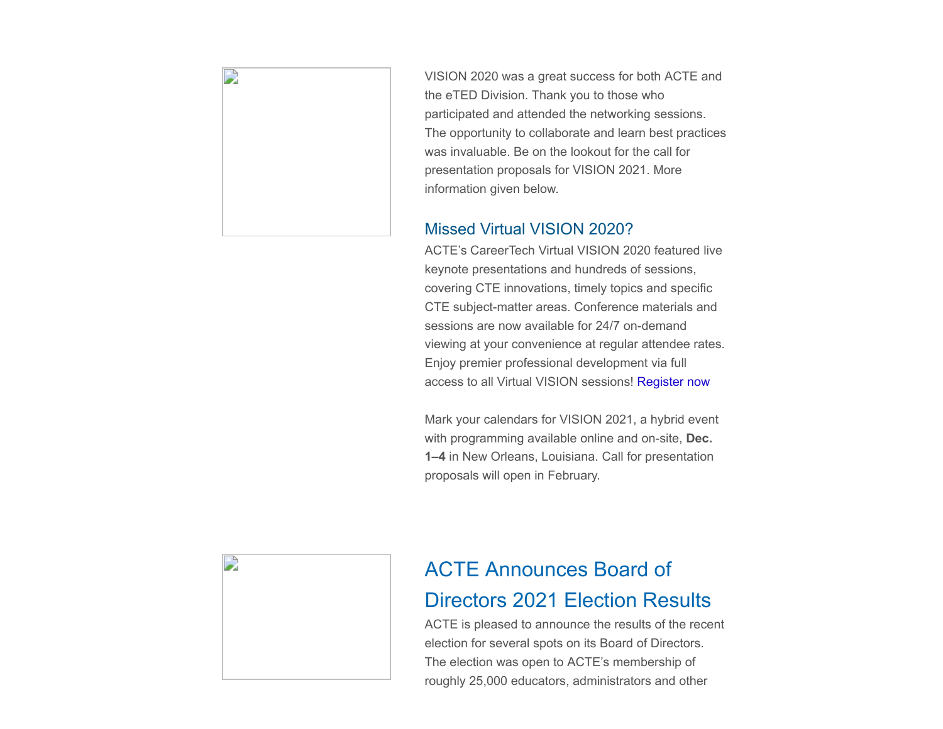

VISION 2020 was a great success for both ACTE and the eTED Division. Thank you to those who participated and attended the networking sessions. The opportunity to collaborate and learn best practices was invaluable. Be on the lookout for the call for presentation proposals for VISION 2021. More information given below.

#### Missed Virtual VISION 2020?

ACTE's CareerTech Virtual VISION 2020 featured live keynote presentations and hundreds of sessions, covering CTE innovations, timely topics and specific CTE subject-matter areas. Conference materials and sessions are now available for 24/7 on-demand viewing at your convenience at regular attendee rates. Enjoy premier professional development via full access to all Virtual VISION sessions! [Register now](https://www.careertechvision.com/pricing.cfm)

Mark your calendars for VISION 2021, a hybrid event with programming available online and on-site, **Dec. 1–4** in New Orleans, Louisiana. Call for presentation proposals will open in February.



## ACTE Announces Board of Directors 2021 Election Results

ACTE is pleased to announce the results of the recent election for several spots on its Board of Directors. The election was open to ACTE's membership of roughly 25,000 educators, administrators and other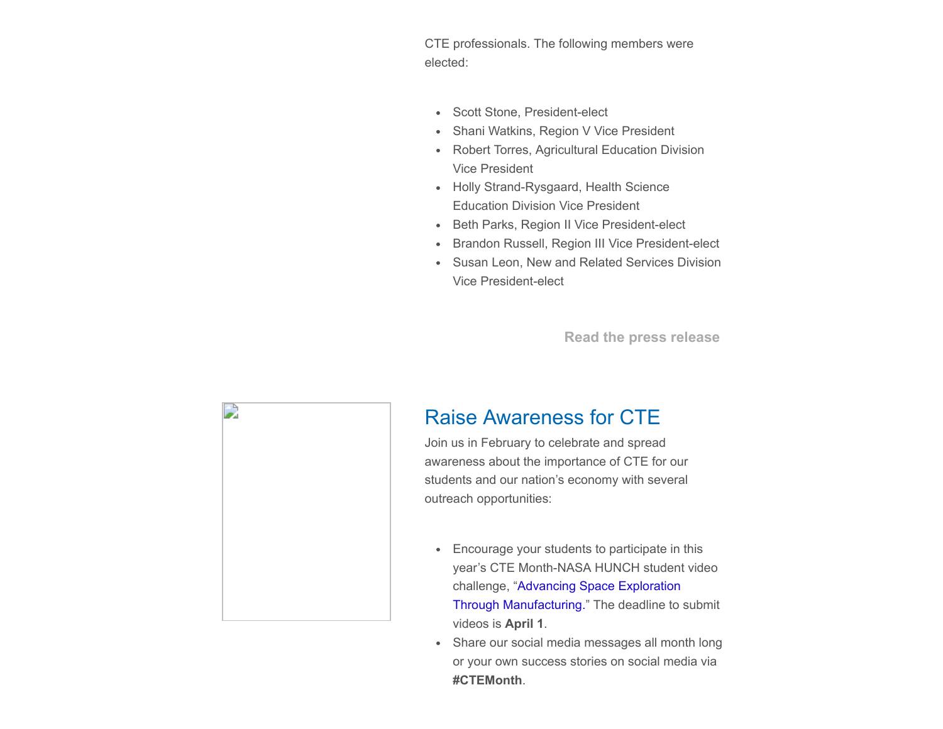CTE professionals. The following members were elected:

- Scott Stone, President-elect
- Shani Watkins, Region V Vice President  $\bullet$
- Robert Torres, Agricultural Education Division Vice President
- Holly Strand-Rysgaard, Health Science Education Division Vice President
- Beth Parks, Region II Vice President-elect
- Brandon Russell, Region III Vice President-elect  $\bullet$
- Susan Leon, New and Related Services Division  $\bullet$ Vice President-elect

**[Read the press release](https://www.acteonline.org/press-releases/acte-announces-board-of-directors-2021-election-results/)**



### Raise Awareness for CTE

Join us in February to celebrate and spread awareness about the importance of CTE for our students and our nation's economy with several outreach opportunities:

- Encourage your students to participate in this year's CTE Month-NASA HUNCH student video challenge, "Advancing Space Exploration [Through Manufacturing." The deadline to](https://www.acteonline.org/why-cte/cte-awareness/cte-month/cte-month-2020-and-nasa-hunch-video-challenge/) submit videos is **April 1**.
- Share our social media messages all month long  $\bullet$ or your own success stories on social media via **#CTEMonth**.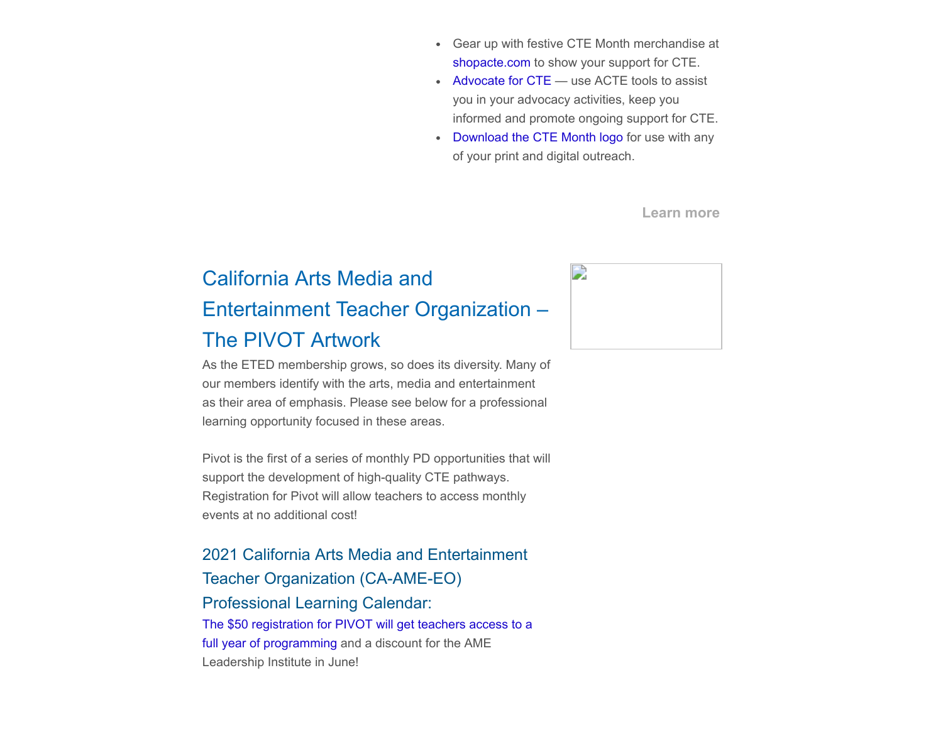- Gear up with festive CTE Month merchandise at [shopacte.com](https://store.goproline.com/mm5/merchant.mvc?Store_Code=253&Screen=SFNT) to show your support for CTE.
- [Advocate for CTE](https://www.acteonline.org/advocacy-toolkit/) use ACTE tools to assist you in your advocacy activities, keep you informed and promote ongoing support for CTE.
- [Download the CTE Month logo](https://www.acteonline.org/why-cte/cte-awareness/cte-month/logo-use-and-restriction-agreement/) for use with any  $\bullet$ of your print and digital outreach.

**[Learn more](https://www.acteonline.org/why-cte/cte-awareness/cte-month/)**

# California Arts Media and Entertainment Teacher Organization – The PIVOT Artwork

As the ETED membership grows, so does its diversity. Many of our members identify with the arts, media and entertainment as their area of emphasis. Please see below for a professional learning opportunity focused in these areas.

Pivot is the first of a series of monthly PD opportunities that will support the development of high-quality CTE pathways. Registration for Pivot will allow teachers to access monthly events at no additional cost!

2021 California Arts Media and Entertainment Teacher Organization (CA-AME-EO) Professional Learning Calendar: [The \\$50 registration for PIVOT will get teachers access to a](https://protect-us.mimecast.com/s/FgMECyPzVKcrGGzzsR4yL7?domain=nam10.safelinks.protection.outlook.com) full year of programming and a discount for the AME Leadership Institute in June!

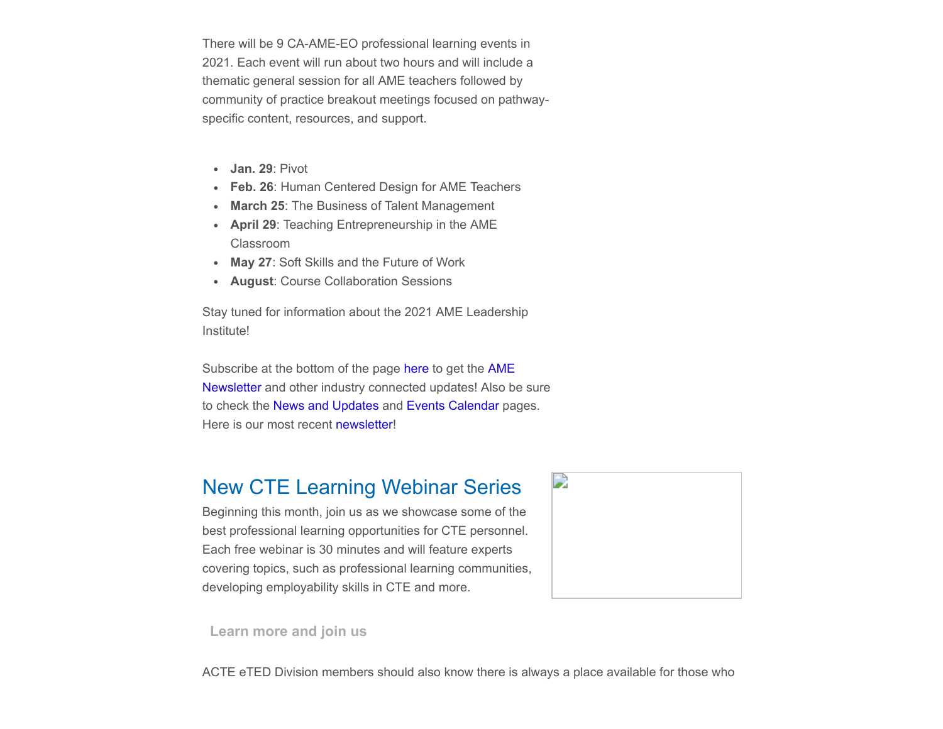There will be 9 CA-AME-EO professional learning events in 2021. Each event will run about two hours and will include a thematic general session for all AME teachers followed by community of practice breakout meetings focused on pathwayspecific content, resources, and support.

- **Jan. 29**: Pivot
- **Feb. 26**: Human Centered Design for AME Teachers
- **March 25**: The Business of Talent Management
- **April 29**: Teaching Entrepreneurship in the AME Classroom
- **May 27**: Soft Skills and the Future of Work
- **August**: Course Collaboration Sessions

Stay tuned for information about the 2021 AME Leadership Institute!

Subscribe at the bottom of the page [here](https://security-us.mimecast.com/ttpwp#/ua?key=cmljaGVsbGUua3J1bXNpZWtAdHVsc2F0ZWNoLmVkdXxyZXEtNjgzN2JhYmYzMjA1MTQ4MTY5NzViYTI2ZGE3ZWRjMTQ%3D) to get the AME [Newsletter and other industry connected updates! Also b](https://protect-us.mimecast.com/s/Y8l0CADrv0TNxx33CMmB3c?domain=nam10.safelinks.protection.outlook.com)e sure to check the [News and Updates](https://ca-ameschools.net/events-updates/) and [Events Calendar](https://ca-ameschools.net/events/) pages. Here is our most recent [newsletter!](https://protect-us.mimecast.com/s/_RbDCERyznT3wwJJFyM60E?domain=nam10.safelinks.protection.outlook.com)

#### New CTE Learning Webinar Series

Beginning this month, join us as we showcase some of the best professional learning opportunities for CTE personnel. Each free webinar is 30 minutes and will feature experts covering topics, such as professional learning communities, developing employability skills in CTE and more.



**[Learn more and join us](https://www.acteonline.org/professional-development/online-learning/cte-learning-series/)**

ACTE eTED Division members should also know there is always a place available for those who